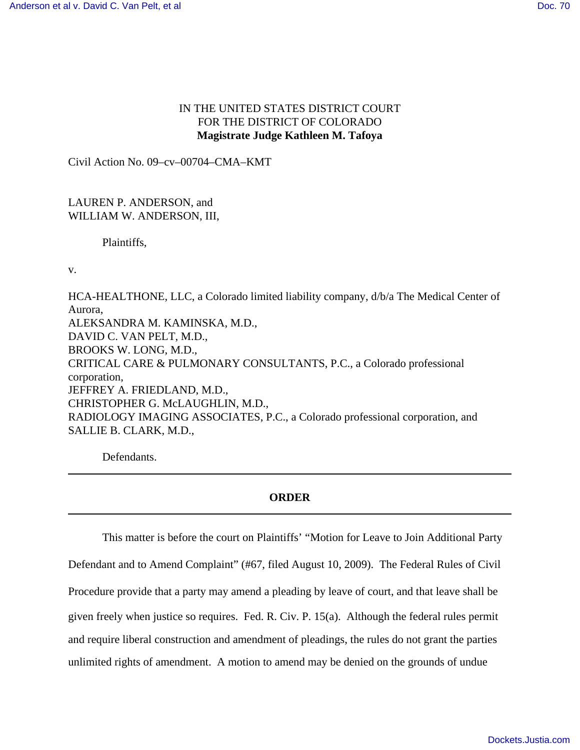## IN THE UNITED STATES DISTRICT COURT FOR THE DISTRICT OF COLORADO **Magistrate Judge Kathleen M. Tafoya**

Civil Action No. 09–cv–00704–CMA–KMT

LAUREN P. ANDERSON, and WILLIAM W. ANDERSON, III,

Plaintiffs,

v.

HCA-HEALTHONE, LLC, a Colorado limited liability company, d/b/a The Medical Center of Aurora, ALEKSANDRA M. KAMINSKA, M.D., DAVID C. VAN PELT, M.D., BROOKS W. LONG, M.D., CRITICAL CARE & PULMONARY CONSULTANTS, P.C., a Colorado professional corporation, JEFFREY A. FRIEDLAND, M.D., CHRISTOPHER G. McLAUGHLIN, M.D., RADIOLOGY IMAGING ASSOCIATES, P.C., a Colorado professional corporation, and SALLIE B. CLARK, M.D.,

Defendants.

## **ORDER**

This matter is before the court on Plaintiffs' "Motion for Leave to Join Additional Party Defendant and to Amend Complaint" (#67, filed August 10, 2009). The Federal Rules of Civil Procedure provide that a party may amend a pleading by leave of court, and that leave shall be given freely when justice so requires. Fed. R. Civ. P. 15(a). Although the federal rules permit and require liberal construction and amendment of pleadings, the rules do not grant the parties unlimited rights of amendment. A motion to amend may be denied on the grounds of undue